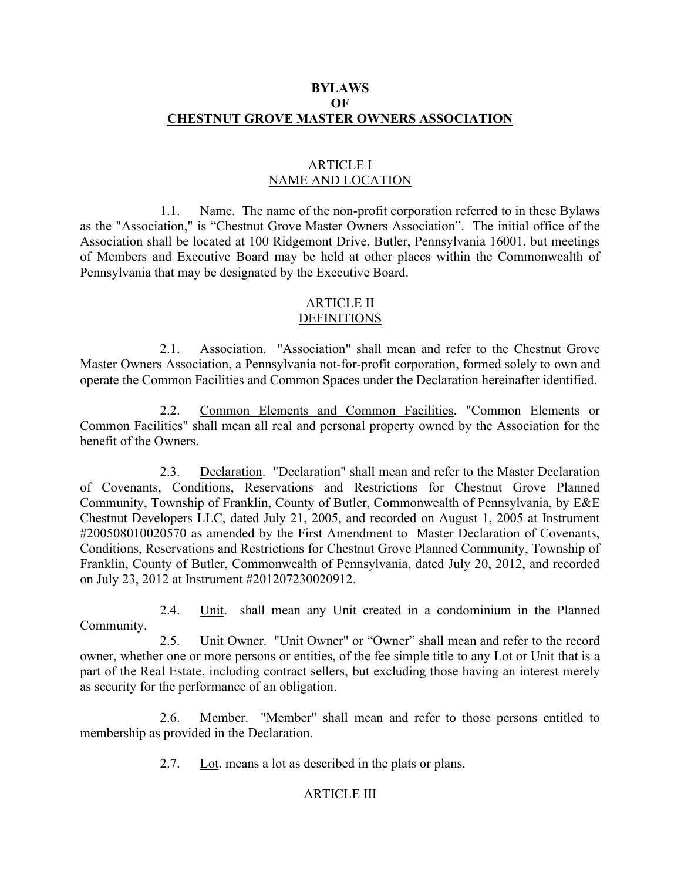## BYLAWS **OF** CHESTNUT GROVE MASTER OWNERS ASSOCIATION

### ARTICLE I NAME AND LOCATION

 1.1. Name. The name of the non-profit corporation referred to in these Bylaws as the "Association," is "Chestnut Grove Master Owners Association". The initial office of the Association shall be located at 100 Ridgemont Drive, Butler, Pennsylvania 16001, but meetings of Members and Executive Board may be held at other places within the Commonwealth of Pennsylvania that may be designated by the Executive Board.

# ARTICLE II

# DEFINITIONS

 2.1. Association. "Association" shall mean and refer to the Chestnut Grove Master Owners Association, a Pennsylvania not-for-profit corporation, formed solely to own and operate the Common Facilities and Common Spaces under the Declaration hereinafter identified.

 2.2. Common Elements and Common Facilities. "Common Elements or Common Facilities" shall mean all real and personal property owned by the Association for the benefit of the Owners.

 2.3. Declaration. "Declaration" shall mean and refer to the Master Declaration of Covenants, Conditions, Reservations and Restrictions for Chestnut Grove Planned Community, Township of Franklin, County of Butler, Commonwealth of Pennsylvania, by E&E Chestnut Developers LLC, dated July 21, 2005, and recorded on August 1, 2005 at Instrument #200508010020570 as amended by the First Amendment to Master Declaration of Covenants, Conditions, Reservations and Restrictions for Chestnut Grove Planned Community, Township of Franklin, County of Butler, Commonwealth of Pennsylvania, dated July 20, 2012, and recorded on July 23, 2012 at Instrument #201207230020912.

 2.4. Unit. shall mean any Unit created in a condominium in the Planned Community.

 2.5. Unit Owner. "Unit Owner" or "Owner" shall mean and refer to the record owner, whether one or more persons or entities, of the fee simple title to any Lot or Unit that is a part of the Real Estate, including contract sellers, but excluding those having an interest merely as security for the performance of an obligation.

 2.6. Member. "Member" shall mean and refer to those persons entitled to membership as provided in the Declaration.

2.7. Lot. means a lot as described in the plats or plans.

### ARTICLE III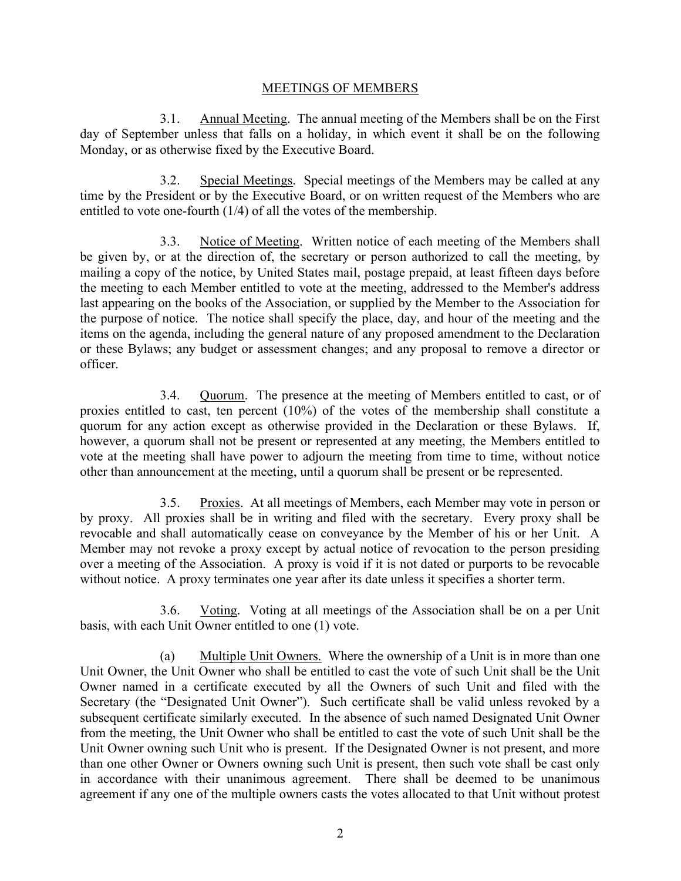### MEETINGS OF MEMBERS

 3.1. Annual Meeting. The annual meeting of the Members shall be on the First day of September unless that falls on a holiday, in which event it shall be on the following Monday, or as otherwise fixed by the Executive Board.

 3.2. Special Meetings. Special meetings of the Members may be called at any time by the President or by the Executive Board, or on written request of the Members who are entitled to vote one-fourth (1/4) of all the votes of the membership.

3.3. Notice of Meeting. Written notice of each meeting of the Members shall be given by, or at the direction of, the secretary or person authorized to call the meeting, by mailing a copy of the notice, by United States mail, postage prepaid, at least fifteen days before the meeting to each Member entitled to vote at the meeting, addressed to the Member's address last appearing on the books of the Association, or supplied by the Member to the Association for the purpose of notice. The notice shall specify the place, day, and hour of the meeting and the items on the agenda, including the general nature of any proposed amendment to the Declaration or these Bylaws; any budget or assessment changes; and any proposal to remove a director or officer.

 3.4. Quorum. The presence at the meeting of Members entitled to cast, or of proxies entitled to cast, ten percent (10%) of the votes of the membership shall constitute a quorum for any action except as otherwise provided in the Declaration or these Bylaws. If, however, a quorum shall not be present or represented at any meeting, the Members entitled to vote at the meeting shall have power to adjourn the meeting from time to time, without notice other than announcement at the meeting, until a quorum shall be present or be represented.

 3.5. Proxies. At all meetings of Members, each Member may vote in person or by proxy. All proxies shall be in writing and filed with the secretary. Every proxy shall be revocable and shall automatically cease on conveyance by the Member of his or her Unit. A Member may not revoke a proxy except by actual notice of revocation to the person presiding over a meeting of the Association. A proxy is void if it is not dated or purports to be revocable without notice. A proxy terminates one year after its date unless it specifies a shorter term.

 3.6. Voting. Voting at all meetings of the Association shall be on a per Unit basis, with each Unit Owner entitled to one (1) vote.

 (a) Multiple Unit Owners. Where the ownership of a Unit is in more than one Unit Owner, the Unit Owner who shall be entitled to cast the vote of such Unit shall be the Unit Owner named in a certificate executed by all the Owners of such Unit and filed with the Secretary (the "Designated Unit Owner"). Such certificate shall be valid unless revoked by a subsequent certificate similarly executed. In the absence of such named Designated Unit Owner from the meeting, the Unit Owner who shall be entitled to cast the vote of such Unit shall be the Unit Owner owning such Unit who is present. If the Designated Owner is not present, and more than one other Owner or Owners owning such Unit is present, then such vote shall be cast only in accordance with their unanimous agreement. There shall be deemed to be unanimous agreement if any one of the multiple owners casts the votes allocated to that Unit without protest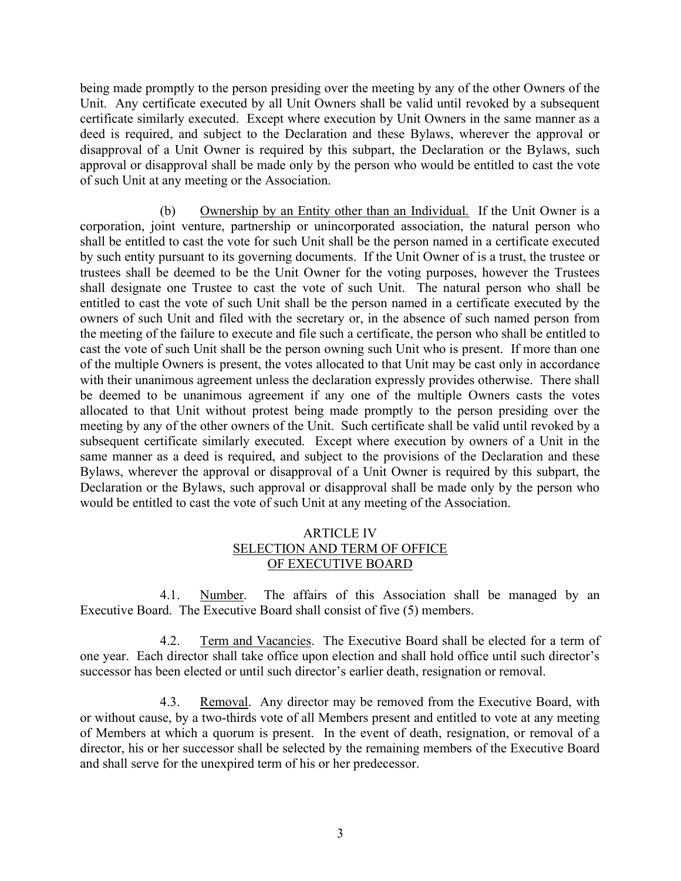being made promptly to the person presiding over the meeting by any of the other Owners of the Unit. Any certificate executed by all Unit Owners shall be valid until revoked by a subsequent certificate similarly executed. Except where execution by Unit Owners in the same manner as a deed is required, and subject to the Declaration and these Bylaws, wherever the approval or disapproval of a Unit Owner is required by this subpart, the Declaration or the Bylaws, such approval or disapproval shall be made only by the person who would be entitled to cast the vote of such Unit at any meeting or the Association.

 (b) Ownership by an Entity other than an Individual. If the Unit Owner is a corporation, joint venture, partnership or unincorporated association, the natural person who shall be entitled to cast the vote for such Unit shall be the person named in a certificate executed by such entity pursuant to its governing documents. If the Unit Owner of is a trust, the trustee or trustees shall be deemed to be the Unit Owner for the voting purposes, however the Trustees shall designate one Trustee to cast the vote of such Unit. The natural person who shall be entitled to cast the vote of such Unit shall be the person named in a certificate executed by the owners of such Unit and filed with the secretary or, in the absence of such named person from the meeting of the failure to execute and file such a certificate, the person who shall be entitled to cast the vote of such Unit shall be the person owning such Unit who is present. If more than one of the multiple Owners is present, the votes allocated to that Unit may be cast only in accordance with their unanimous agreement unless the declaration expressly provides otherwise. There shall be deemed to be unanimous agreement if any one of the multiple Owners casts the votes allocated to that Unit without protest being made promptly to the person presiding over the meeting by any of the other owners of the Unit. Such certificate shall be valid until revoked by a subsequent certificate similarly executed. Except where execution by owners of a Unit in the same manner as a deed is required, and subject to the provisions of the Declaration and these Bylaws, wherever the approval or disapproval of a Unit Owner is required by this subpart, the Declaration or the Bylaws, such approval or disapproval shall be made only by the person who would be entitled to cast the vote of such Unit at any meeting of the Association.

### ARTICLE IV SELECTION AND TERM OF OFFICE OF EXECUTIVE BOARD

 4.1. Number. The affairs of this Association shall be managed by an Executive Board. The Executive Board shall consist of five (5) members.

 4.2. Term and Vacancies. The Executive Board shall be elected for a term of one year. Each director shall take office upon election and shall hold office until such director's successor has been elected or until such director's earlier death, resignation or removal.

 4.3. Removal. Any director may be removed from the Executive Board, with or without cause, by a two-thirds vote of all Members present and entitled to vote at any meeting of Members at which a quorum is present. In the event of death, resignation, or removal of a director, his or her successor shall be selected by the remaining members of the Executive Board and shall serve for the unexpired term of his or her predecessor.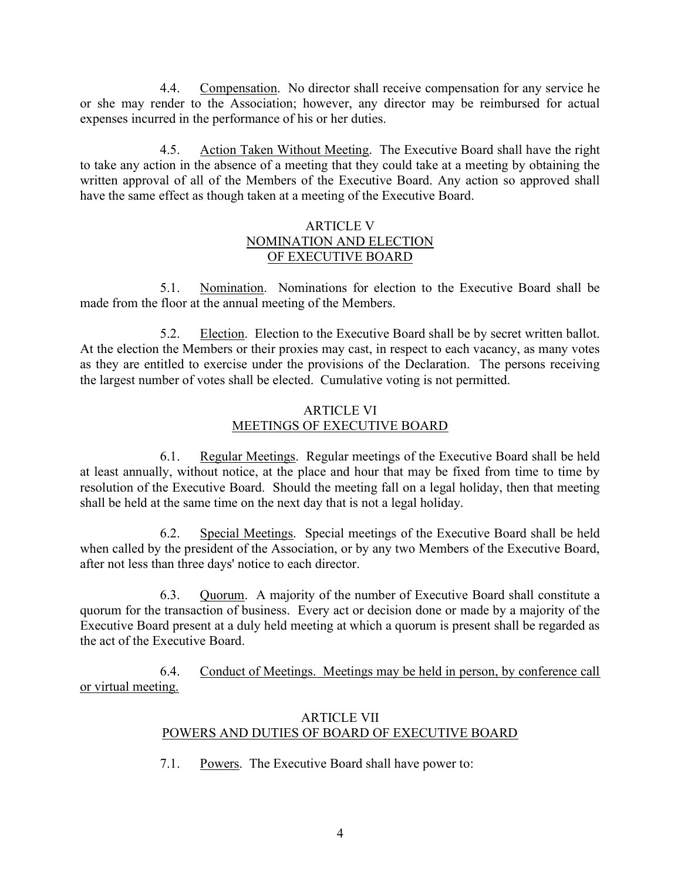4.4. Compensation. No director shall receive compensation for any service he or she may render to the Association; however, any director may be reimbursed for actual expenses incurred in the performance of his or her duties.

 4.5. Action Taken Without Meeting. The Executive Board shall have the right to take any action in the absence of a meeting that they could take at a meeting by obtaining the written approval of all of the Members of the Executive Board. Any action so approved shall have the same effect as though taken at a meeting of the Executive Board.

## ARTICLE V NOMINATION AND ELECTION OF EXECUTIVE BOARD

 5.1. Nomination. Nominations for election to the Executive Board shall be made from the floor at the annual meeting of the Members.

 5.2. Election. Election to the Executive Board shall be by secret written ballot. At the election the Members or their proxies may cast, in respect to each vacancy, as many votes as they are entitled to exercise under the provisions of the Declaration. The persons receiving the largest number of votes shall be elected. Cumulative voting is not permitted.

# ARTICLE VI MEETINGS OF EXECUTIVE BOARD

 6.1. Regular Meetings. Regular meetings of the Executive Board shall be held at least annually, without notice, at the place and hour that may be fixed from time to time by resolution of the Executive Board. Should the meeting fall on a legal holiday, then that meeting shall be held at the same time on the next day that is not a legal holiday.

 6.2. Special Meetings. Special meetings of the Executive Board shall be held when called by the president of the Association, or by any two Members of the Executive Board, after not less than three days' notice to each director.

 6.3. Quorum. A majority of the number of Executive Board shall constitute a quorum for the transaction of business. Every act or decision done or made by a majority of the Executive Board present at a duly held meeting at which a quorum is present shall be regarded as the act of the Executive Board.

 6.4. Conduct of Meetings. Meetings may be held in person, by conference call or virtual meeting.

# ARTICLE VII POWERS AND DUTIES OF BOARD OF EXECUTIVE BOARD

7.1. Powers. The Executive Board shall have power to: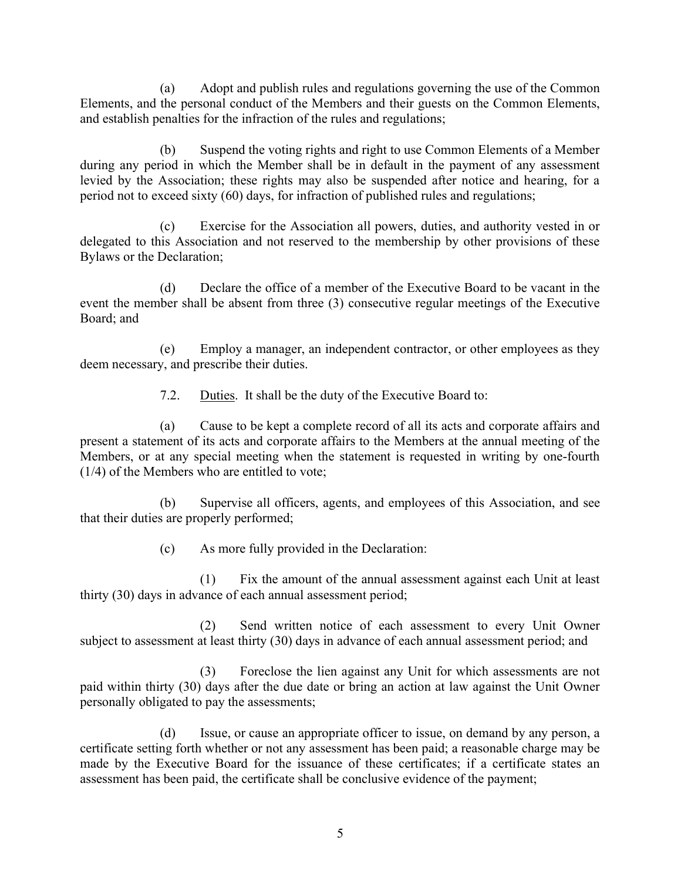(a) Adopt and publish rules and regulations governing the use of the Common Elements, and the personal conduct of the Members and their guests on the Common Elements, and establish penalties for the infraction of the rules and regulations;

 (b) Suspend the voting rights and right to use Common Elements of a Member during any period in which the Member shall be in default in the payment of any assessment levied by the Association; these rights may also be suspended after notice and hearing, for a period not to exceed sixty (60) days, for infraction of published rules and regulations;

 (c) Exercise for the Association all powers, duties, and authority vested in or delegated to this Association and not reserved to the membership by other provisions of these Bylaws or the Declaration;

 (d) Declare the office of a member of the Executive Board to be vacant in the event the member shall be absent from three (3) consecutive regular meetings of the Executive Board; and

 (e) Employ a manager, an independent contractor, or other employees as they deem necessary, and prescribe their duties.

7.2. Duties. It shall be the duty of the Executive Board to:

 (a) Cause to be kept a complete record of all its acts and corporate affairs and present a statement of its acts and corporate affairs to the Members at the annual meeting of the Members, or at any special meeting when the statement is requested in writing by one-fourth (1/4) of the Members who are entitled to vote;

 (b) Supervise all officers, agents, and employees of this Association, and see that their duties are properly performed;

(c) As more fully provided in the Declaration:

 (1) Fix the amount of the annual assessment against each Unit at least thirty (30) days in advance of each annual assessment period;

 (2) Send written notice of each assessment to every Unit Owner subject to assessment at least thirty (30) days in advance of each annual assessment period; and

 (3) Foreclose the lien against any Unit for which assessments are not paid within thirty (30) days after the due date or bring an action at law against the Unit Owner personally obligated to pay the assessments;

 (d) Issue, or cause an appropriate officer to issue, on demand by any person, a certificate setting forth whether or not any assessment has been paid; a reasonable charge may be made by the Executive Board for the issuance of these certificates; if a certificate states an assessment has been paid, the certificate shall be conclusive evidence of the payment;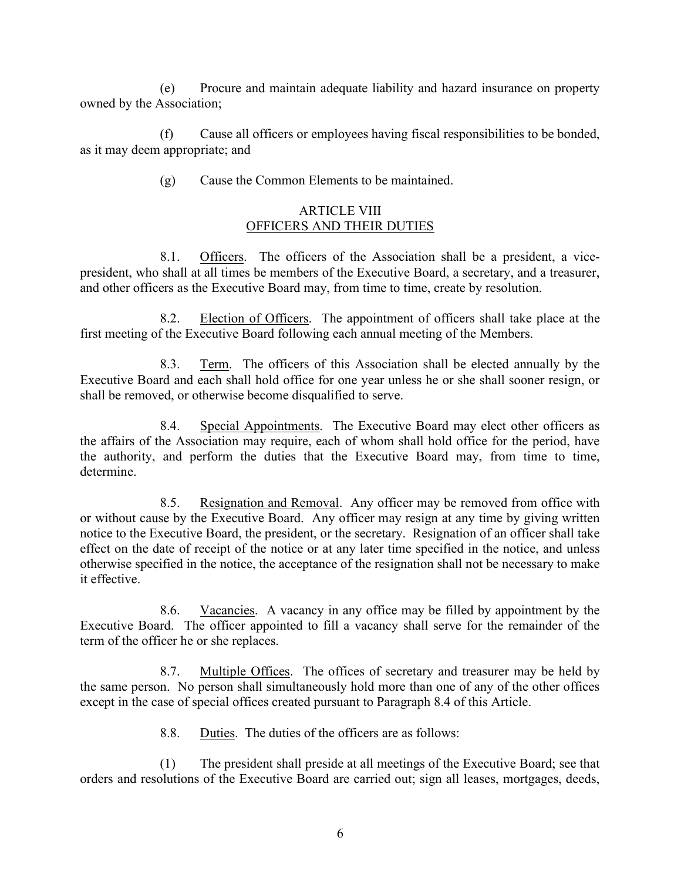(e) Procure and maintain adequate liability and hazard insurance on property owned by the Association;

 (f) Cause all officers or employees having fiscal responsibilities to be bonded, as it may deem appropriate; and

(g) Cause the Common Elements to be maintained.

## ARTICLE VIII OFFICERS AND THEIR DUTIES

 8.1. Officers. The officers of the Association shall be a president, a vicepresident, who shall at all times be members of the Executive Board, a secretary, and a treasurer, and other officers as the Executive Board may, from time to time, create by resolution.

 8.2. Election of Officers. The appointment of officers shall take place at the first meeting of the Executive Board following each annual meeting of the Members.

 8.3. Term. The officers of this Association shall be elected annually by the Executive Board and each shall hold office for one year unless he or she shall sooner resign, or shall be removed, or otherwise become disqualified to serve.

 8.4. Special Appointments. The Executive Board may elect other officers as the affairs of the Association may require, each of whom shall hold office for the period, have the authority, and perform the duties that the Executive Board may, from time to time, determine.

8.5. Resignation and Removal. Any officer may be removed from office with or without cause by the Executive Board. Any officer may resign at any time by giving written notice to the Executive Board, the president, or the secretary. Resignation of an officer shall take effect on the date of receipt of the notice or at any later time specified in the notice, and unless otherwise specified in the notice, the acceptance of the resignation shall not be necessary to make it effective.

 8.6. Vacancies. A vacancy in any office may be filled by appointment by the Executive Board. The officer appointed to fill a vacancy shall serve for the remainder of the term of the officer he or she replaces.

 8.7. Multiple Offices. The offices of secretary and treasurer may be held by the same person. No person shall simultaneously hold more than one of any of the other offices except in the case of special offices created pursuant to Paragraph 8.4 of this Article.

8.8. Duties. The duties of the officers are as follows:

 (1) The president shall preside at all meetings of the Executive Board; see that orders and resolutions of the Executive Board are carried out; sign all leases, mortgages, deeds,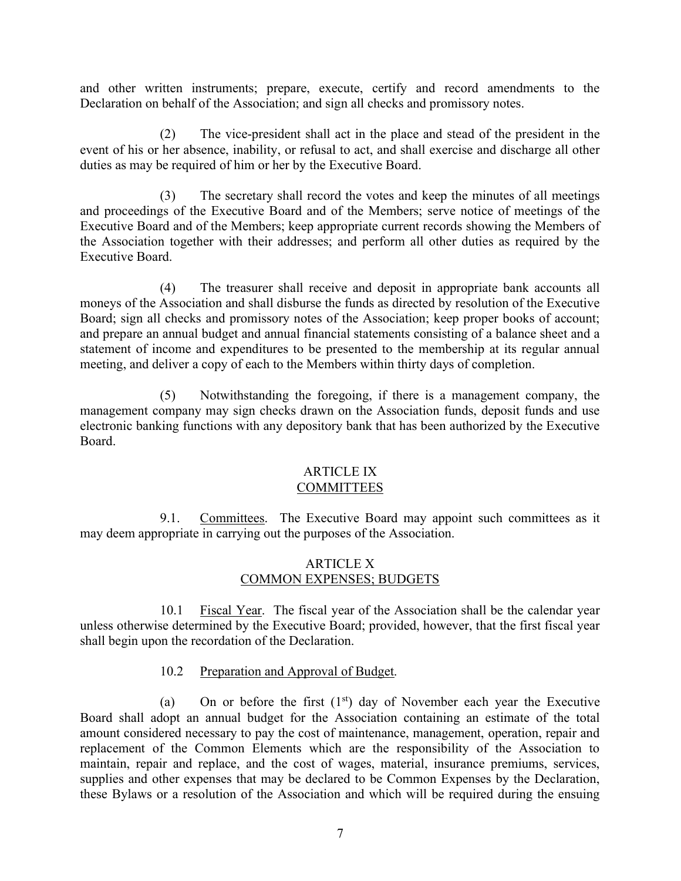and other written instruments; prepare, execute, certify and record amendments to the Declaration on behalf of the Association; and sign all checks and promissory notes.

 (2) The vice-president shall act in the place and stead of the president in the event of his or her absence, inability, or refusal to act, and shall exercise and discharge all other duties as may be required of him or her by the Executive Board.

 (3) The secretary shall record the votes and keep the minutes of all meetings and proceedings of the Executive Board and of the Members; serve notice of meetings of the Executive Board and of the Members; keep appropriate current records showing the Members of the Association together with their addresses; and perform all other duties as required by the Executive Board.

 (4) The treasurer shall receive and deposit in appropriate bank accounts all moneys of the Association and shall disburse the funds as directed by resolution of the Executive Board; sign all checks and promissory notes of the Association; keep proper books of account; and prepare an annual budget and annual financial statements consisting of a balance sheet and a statement of income and expenditures to be presented to the membership at its regular annual meeting, and deliver a copy of each to the Members within thirty days of completion.

 (5) Notwithstanding the foregoing, if there is a management company, the management company may sign checks drawn on the Association funds, deposit funds and use electronic banking functions with any depository bank that has been authorized by the Executive Board.

#### ARTICLE IX **COMMITTEES**

9.1. Committees. The Executive Board may appoint such committees as it may deem appropriate in carrying out the purposes of the Association.

## ARTICLE X COMMON EXPENSES; BUDGETS

 10.1 Fiscal Year. The fiscal year of the Association shall be the calendar year unless otherwise determined by the Executive Board; provided, however, that the first fiscal year shall begin upon the recordation of the Declaration.

# 10.2 Preparation and Approval of Budget.

(a) On or before the first  $(1<sup>st</sup>)$  day of November each year the Executive Board shall adopt an annual budget for the Association containing an estimate of the total amount considered necessary to pay the cost of maintenance, management, operation, repair and replacement of the Common Elements which are the responsibility of the Association to maintain, repair and replace, and the cost of wages, material, insurance premiums, services, supplies and other expenses that may be declared to be Common Expenses by the Declaration, these Bylaws or a resolution of the Association and which will be required during the ensuing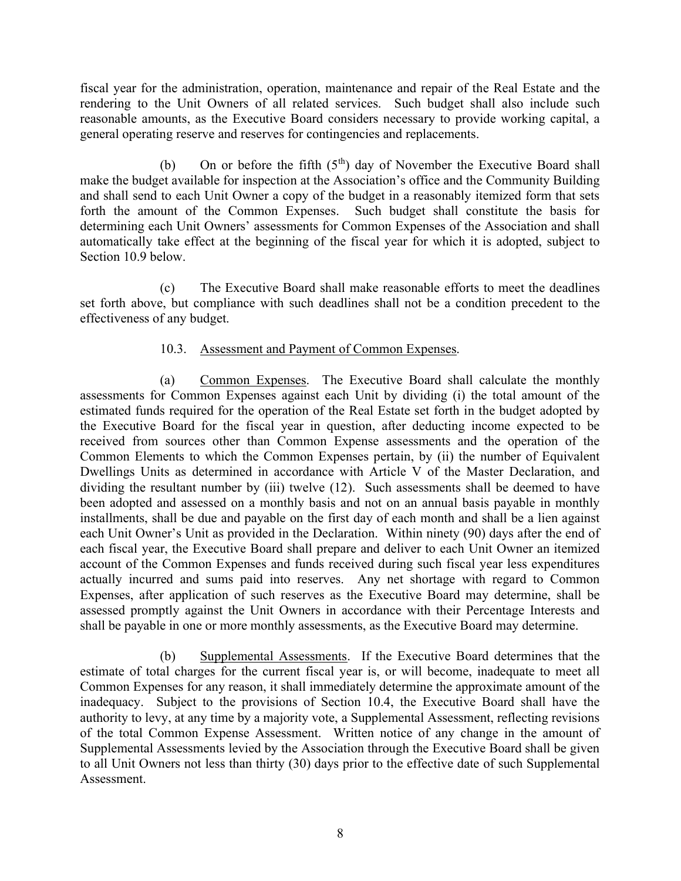fiscal year for the administration, operation, maintenance and repair of the Real Estate and the rendering to the Unit Owners of all related services. Such budget shall also include such reasonable amounts, as the Executive Board considers necessary to provide working capital, a general operating reserve and reserves for contingencies and replacements.

(b) On or before the fifth  $(5<sup>th</sup>)$  day of November the Executive Board shall make the budget available for inspection at the Association's office and the Community Building and shall send to each Unit Owner a copy of the budget in a reasonably itemized form that sets forth the amount of the Common Expenses. Such budget shall constitute the basis for determining each Unit Owners' assessments for Common Expenses of the Association and shall automatically take effect at the beginning of the fiscal year for which it is adopted, subject to Section 10.9 below.

 (c) The Executive Board shall make reasonable efforts to meet the deadlines set forth above, but compliance with such deadlines shall not be a condition precedent to the effectiveness of any budget.

# 10.3. Assessment and Payment of Common Expenses.

 (a) Common Expenses. The Executive Board shall calculate the monthly assessments for Common Expenses against each Unit by dividing (i) the total amount of the estimated funds required for the operation of the Real Estate set forth in the budget adopted by the Executive Board for the fiscal year in question, after deducting income expected to be received from sources other than Common Expense assessments and the operation of the Common Elements to which the Common Expenses pertain, by (ii) the number of Equivalent Dwellings Units as determined in accordance with Article V of the Master Declaration, and dividing the resultant number by (iii) twelve (12). Such assessments shall be deemed to have been adopted and assessed on a monthly basis and not on an annual basis payable in monthly installments, shall be due and payable on the first day of each month and shall be a lien against each Unit Owner's Unit as provided in the Declaration. Within ninety (90) days after the end of each fiscal year, the Executive Board shall prepare and deliver to each Unit Owner an itemized account of the Common Expenses and funds received during such fiscal year less expenditures actually incurred and sums paid into reserves. Any net shortage with regard to Common Expenses, after application of such reserves as the Executive Board may determine, shall be assessed promptly against the Unit Owners in accordance with their Percentage Interests and shall be payable in one or more monthly assessments, as the Executive Board may determine.

 (b) Supplemental Assessments. If the Executive Board determines that the estimate of total charges for the current fiscal year is, or will become, inadequate to meet all Common Expenses for any reason, it shall immediately determine the approximate amount of the inadequacy. Subject to the provisions of Section 10.4, the Executive Board shall have the authority to levy, at any time by a majority vote, a Supplemental Assessment, reflecting revisions of the total Common Expense Assessment. Written notice of any change in the amount of Supplemental Assessments levied by the Association through the Executive Board shall be given to all Unit Owners not less than thirty (30) days prior to the effective date of such Supplemental Assessment.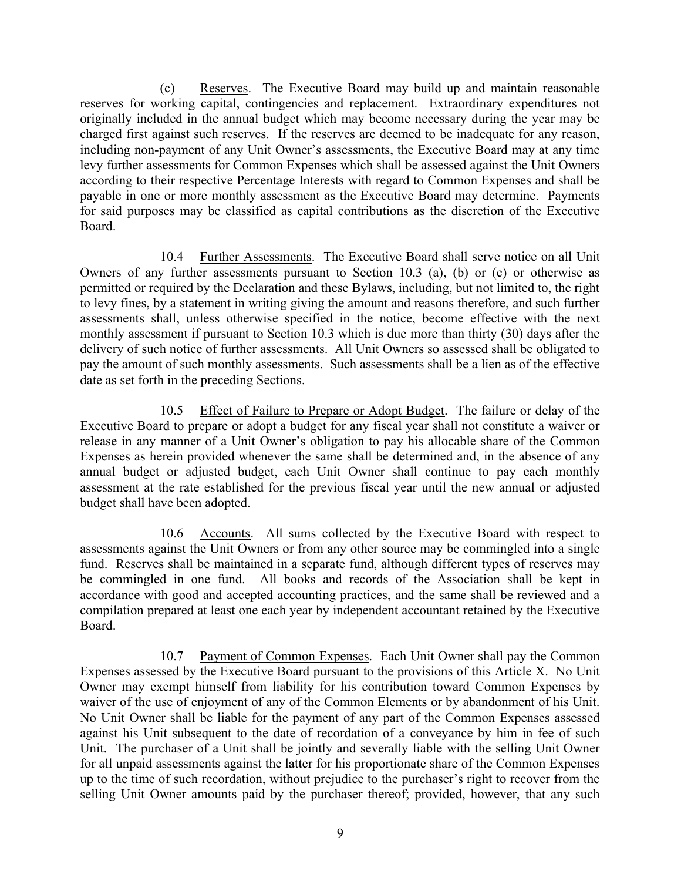(c) Reserves. The Executive Board may build up and maintain reasonable reserves for working capital, contingencies and replacement. Extraordinary expenditures not originally included in the annual budget which may become necessary during the year may be charged first against such reserves. If the reserves are deemed to be inadequate for any reason, including non-payment of any Unit Owner's assessments, the Executive Board may at any time levy further assessments for Common Expenses which shall be assessed against the Unit Owners according to their respective Percentage Interests with regard to Common Expenses and shall be payable in one or more monthly assessment as the Executive Board may determine. Payments for said purposes may be classified as capital contributions as the discretion of the Executive Board.

 10.4 Further Assessments. The Executive Board shall serve notice on all Unit Owners of any further assessments pursuant to Section 10.3 (a), (b) or (c) or otherwise as permitted or required by the Declaration and these Bylaws, including, but not limited to, the right to levy fines, by a statement in writing giving the amount and reasons therefore, and such further assessments shall, unless otherwise specified in the notice, become effective with the next monthly assessment if pursuant to Section 10.3 which is due more than thirty (30) days after the delivery of such notice of further assessments. All Unit Owners so assessed shall be obligated to pay the amount of such monthly assessments. Such assessments shall be a lien as of the effective date as set forth in the preceding Sections.

 10.5 Effect of Failure to Prepare or Adopt Budget. The failure or delay of the Executive Board to prepare or adopt a budget for any fiscal year shall not constitute a waiver or release in any manner of a Unit Owner's obligation to pay his allocable share of the Common Expenses as herein provided whenever the same shall be determined and, in the absence of any annual budget or adjusted budget, each Unit Owner shall continue to pay each monthly assessment at the rate established for the previous fiscal year until the new annual or adjusted budget shall have been adopted.

 10.6 Accounts. All sums collected by the Executive Board with respect to assessments against the Unit Owners or from any other source may be commingled into a single fund. Reserves shall be maintained in a separate fund, although different types of reserves may be commingled in one fund. All books and records of the Association shall be kept in accordance with good and accepted accounting practices, and the same shall be reviewed and a compilation prepared at least one each year by independent accountant retained by the Executive Board.

 10.7 Payment of Common Expenses. Each Unit Owner shall pay the Common Expenses assessed by the Executive Board pursuant to the provisions of this Article X. No Unit Owner may exempt himself from liability for his contribution toward Common Expenses by waiver of the use of enjoyment of any of the Common Elements or by abandonment of his Unit. No Unit Owner shall be liable for the payment of any part of the Common Expenses assessed against his Unit subsequent to the date of recordation of a conveyance by him in fee of such Unit. The purchaser of a Unit shall be jointly and severally liable with the selling Unit Owner for all unpaid assessments against the latter for his proportionate share of the Common Expenses up to the time of such recordation, without prejudice to the purchaser's right to recover from the selling Unit Owner amounts paid by the purchaser thereof; provided, however, that any such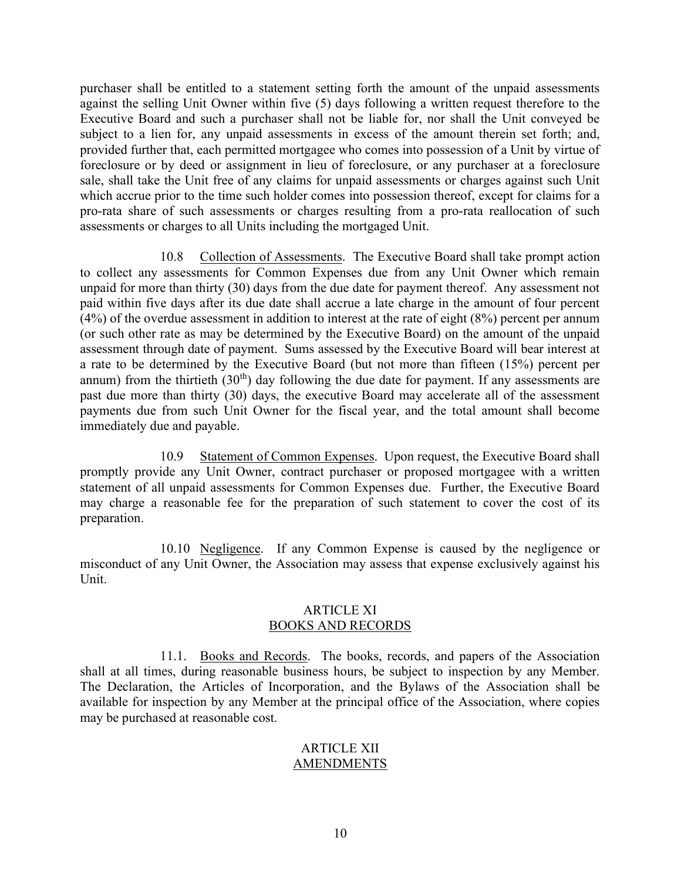purchaser shall be entitled to a statement setting forth the amount of the unpaid assessments against the selling Unit Owner within five (5) days following a written request therefore to the Executive Board and such a purchaser shall not be liable for, nor shall the Unit conveyed be subject to a lien for, any unpaid assessments in excess of the amount therein set forth; and, provided further that, each permitted mortgagee who comes into possession of a Unit by virtue of foreclosure or by deed or assignment in lieu of foreclosure, or any purchaser at a foreclosure sale, shall take the Unit free of any claims for unpaid assessments or charges against such Unit which accrue prior to the time such holder comes into possession thereof, except for claims for a pro-rata share of such assessments or charges resulting from a pro-rata reallocation of such assessments or charges to all Units including the mortgaged Unit.

 10.8 Collection of Assessments. The Executive Board shall take prompt action to collect any assessments for Common Expenses due from any Unit Owner which remain unpaid for more than thirty (30) days from the due date for payment thereof. Any assessment not paid within five days after its due date shall accrue a late charge in the amount of four percent (4%) of the overdue assessment in addition to interest at the rate of eight (8%) percent per annum (or such other rate as may be determined by the Executive Board) on the amount of the unpaid assessment through date of payment. Sums assessed by the Executive Board will bear interest at a rate to be determined by the Executive Board (but not more than fifteen (15%) percent per annum) from the thirtieth  $(30<sup>th</sup>)$  day following the due date for payment. If any assessments are past due more than thirty (30) days, the executive Board may accelerate all of the assessment payments due from such Unit Owner for the fiscal year, and the total amount shall become immediately due and payable.

 10.9 Statement of Common Expenses. Upon request, the Executive Board shall promptly provide any Unit Owner, contract purchaser or proposed mortgagee with a written statement of all unpaid assessments for Common Expenses due. Further, the Executive Board may charge a reasonable fee for the preparation of such statement to cover the cost of its preparation.

10.10 Negligence. If any Common Expense is caused by the negligence or misconduct of any Unit Owner, the Association may assess that expense exclusively against his Unit.

#### ARTICLE XI BOOKS AND RECORDS

 11.1. Books and Records. The books, records, and papers of the Association shall at all times, during reasonable business hours, be subject to inspection by any Member. The Declaration, the Articles of Incorporation, and the Bylaws of the Association shall be available for inspection by any Member at the principal office of the Association, where copies may be purchased at reasonable cost.

#### ARTICLE XII **AMENDMENTS**